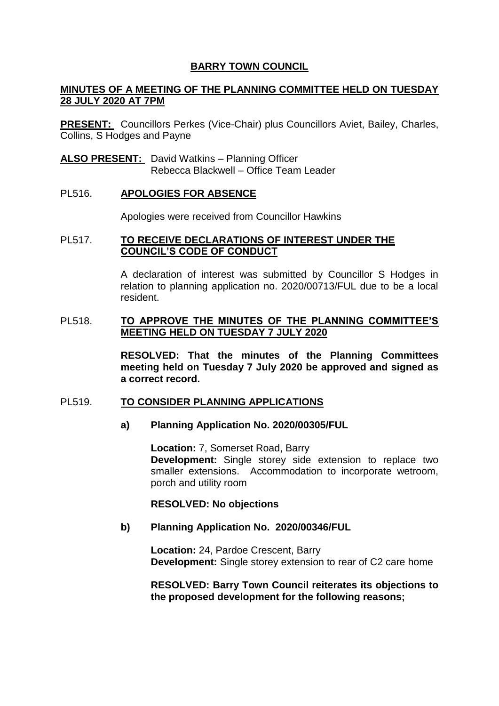# **BARRY TOWN COUNCIL**

## **MINUTES OF A MEETING OF THE PLANNING COMMITTEE HELD ON TUESDAY 28 JULY 2020 AT 7PM**

**PRESENT:** Councillors Perkes (Vice-Chair) plus Councillors Aviet, Bailey, Charles, Collins, S Hodges and Payne

**ALSO PRESENT:** David Watkins – Planning Officer Rebecca Blackwell – Office Team Leader

### PL516. **APOLOGIES FOR ABSENCE**

Apologies were received from Councillor Hawkins

## PL517. **TO RECEIVE DECLARATIONS OF INTEREST UNDER THE COUNCIL'S CODE OF CONDUCT**

A declaration of interest was submitted by Councillor S Hodges in relation to planning application no. 2020/00713/FUL due to be a local resident.

#### PL518. **TO APPROVE THE MINUTES OF THE PLANNING COMMITTEE'S MEETING HELD ON TUESDAY 7 JULY 2020**

**RESOLVED: That the minutes of the Planning Committees meeting held on Tuesday 7 July 2020 be approved and signed as a correct record.** 

#### PL519. **TO CONSIDER PLANNING APPLICATIONS**

## **a) Planning Application No. 2020/00305/FUL**

**Location:** 7, Somerset Road, Barry **Development:** Single storey side extension to replace two smaller extensions. Accommodation to incorporate wetroom, porch and utility room

#### **RESOLVED: No objections**

#### **b) Planning Application No. 2020/00346/FUL**

**Location:** 24, Pardoe Crescent, Barry **Development:** Single storey extension to rear of C2 care home

**RESOLVED: Barry Town Council reiterates its objections to the proposed development for the following reasons;**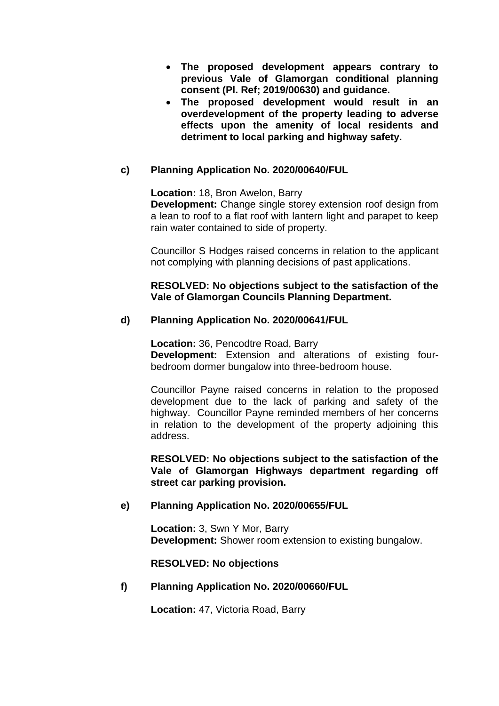- **The proposed development appears contrary to previous Vale of Glamorgan conditional planning consent (Pl. Ref; 2019/00630) and guidance.**
- **The proposed development would result in an overdevelopment of the property leading to adverse effects upon the amenity of local residents and detriment to local parking and highway safety.**

# **c) Planning Application No. 2020/00640/FUL**

**Location:** 18, Bron Awelon, Barry

**Development:** Change single storey extension roof design from a lean to roof to a flat roof with lantern light and parapet to keep rain water contained to side of property.

Councillor S Hodges raised concerns in relation to the applicant not complying with planning decisions of past applications.

### **RESOLVED: No objections subject to the satisfaction of the Vale of Glamorgan Councils Planning Department.**

## **d) Planning Application No. 2020/00641/FUL**

**Location:** 36, Pencodtre Road, Barry **Development:** Extension and alterations of existing fourbedroom dormer bungalow into three-bedroom house.

Councillor Payne raised concerns in relation to the proposed development due to the lack of parking and safety of the highway. Councillor Payne reminded members of her concerns in relation to the development of the property adjoining this address.

**RESOLVED: No objections subject to the satisfaction of the Vale of Glamorgan Highways department regarding off street car parking provision.**

## **e) Planning Application No. 2020/00655/FUL**

**Location:** 3, Swn Y Mor, Barry **Development:** Shower room extension to existing bungalow.

#### **RESOLVED: No objections**

## **f) Planning Application No. 2020/00660/FUL**

**Location:** 47, Victoria Road, Barry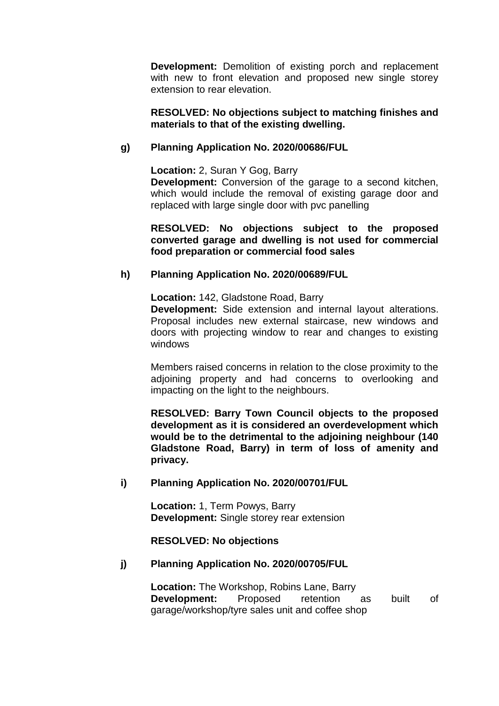**Development:** Demolition of existing porch and replacement with new to front elevation and proposed new single storey extension to rear elevation.

### **RESOLVED: No objections subject to matching finishes and materials to that of the existing dwelling.**

## **g) Planning Application No. 2020/00686/FUL**

**Location:** 2, Suran Y Gog, Barry

**Development:** Conversion of the garage to a second kitchen, which would include the removal of existing garage door and replaced with large single door with pvc panelling

**RESOLVED: No objections subject to the proposed converted garage and dwelling is not used for commercial food preparation or commercial food sales**

## **h) Planning Application No. 2020/00689/FUL**

**Location:** 142, Gladstone Road, Barry **Development:** Side extension and internal layout alterations. Proposal includes new external staircase, new windows and doors with projecting window to rear and changes to existing windows

Members raised concerns in relation to the close proximity to the adjoining property and had concerns to overlooking and impacting on the light to the neighbours.

**RESOLVED: Barry Town Council objects to the proposed development as it is considered an overdevelopment which would be to the detrimental to the adjoining neighbour (140 Gladstone Road, Barry) in term of loss of amenity and privacy.**

## **i) Planning Application No. 2020/00701/FUL**

**Location:** 1, Term Powys, Barry **Development:** Single storey rear extension

**RESOLVED: No objections** 

## **j) Planning Application No. 2020/00705/FUL**

**Location:** The Workshop, Robins Lane, Barry **Development:** Proposed retention as built of garage/workshop/tyre sales unit and coffee shop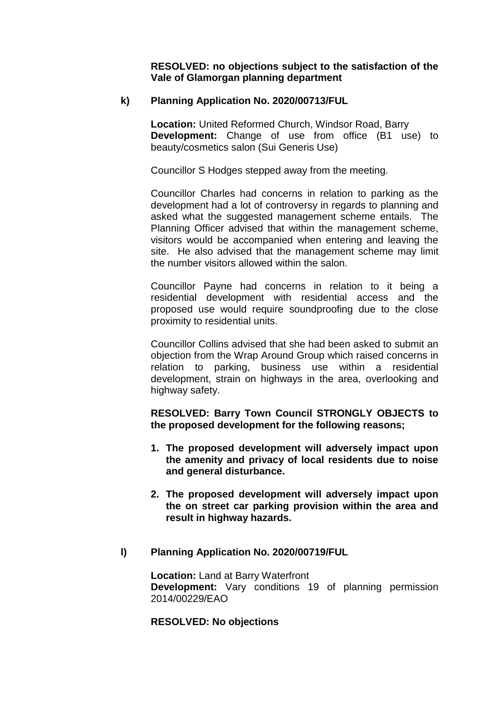**RESOLVED: no objections subject to the satisfaction of the Vale of Glamorgan planning department** 

### **k) Planning Application No. 2020/00713/FUL**

**Location:** United Reformed Church, Windsor Road, Barry **Development:** Change of use from office (B1 use) to beauty/cosmetics salon (Sui Generis Use)

Councillor S Hodges stepped away from the meeting.

Councillor Charles had concerns in relation to parking as the development had a lot of controversy in regards to planning and asked what the suggested management scheme entails. The Planning Officer advised that within the management scheme, visitors would be accompanied when entering and leaving the site. He also advised that the management scheme may limit the number visitors allowed within the salon.

Councillor Payne had concerns in relation to it being a residential development with residential access and the proposed use would require soundproofing due to the close proximity to residential units.

Councillor Collins advised that she had been asked to submit an objection from the Wrap Around Group which raised concerns in relation to parking, business use within a residential development, strain on highways in the area, overlooking and highway safety.

**RESOLVED: Barry Town Council STRONGLY OBJECTS to the proposed development for the following reasons;**

- **1. The proposed development will adversely impact upon the amenity and privacy of local residents due to noise and general disturbance.**
- **2. The proposed development will adversely impact upon the on street car parking provision within the area and result in highway hazards.**

#### **l) Planning Application No. 2020/00719/FUL**

**Location: Land at Barry Waterfront Development:** Vary conditions 19 of planning permission 2014/00229/EAO

#### **RESOLVED: No objections**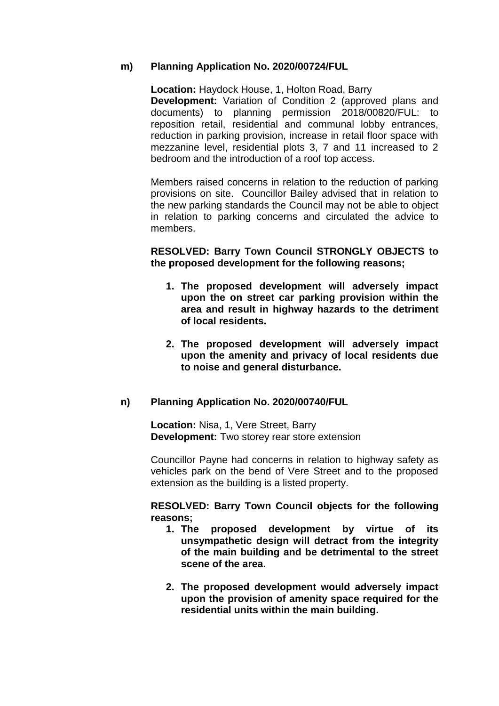### **m) Planning Application No. 2020/00724/FUL**

**Location:** Haydock House, 1, Holton Road, Barry **Development:** Variation of Condition 2 (approved plans and documents) to planning permission 2018/00820/FUL: to reposition retail, residential and communal lobby entrances, reduction in parking provision, increase in retail floor space with mezzanine level, residential plots 3, 7 and 11 increased to 2 bedroom and the introduction of a roof top access.

Members raised concerns in relation to the reduction of parking provisions on site. Councillor Bailey advised that in relation to the new parking standards the Council may not be able to object in relation to parking concerns and circulated the advice to members.

### **RESOLVED: Barry Town Council STRONGLY OBJECTS to the proposed development for the following reasons;**

- **1. The proposed development will adversely impact upon the on street car parking provision within the area and result in highway hazards to the detriment of local residents.**
- **2. The proposed development will adversely impact upon the amenity and privacy of local residents due to noise and general disturbance.**

#### **n) Planning Application No. 2020/00740/FUL**

**Location:** Nisa, 1, Vere Street, Barry **Development:** Two storey rear store extension

Councillor Payne had concerns in relation to highway safety as vehicles park on the bend of Vere Street and to the proposed extension as the building is a listed property.

### **RESOLVED: Barry Town Council objects for the following reasons;**

- **1. The proposed development by virtue of its unsympathetic design will detract from the integrity of the main building and be detrimental to the street scene of the area.**
- **2. The proposed development would adversely impact upon the provision of amenity space required for the residential units within the main building.**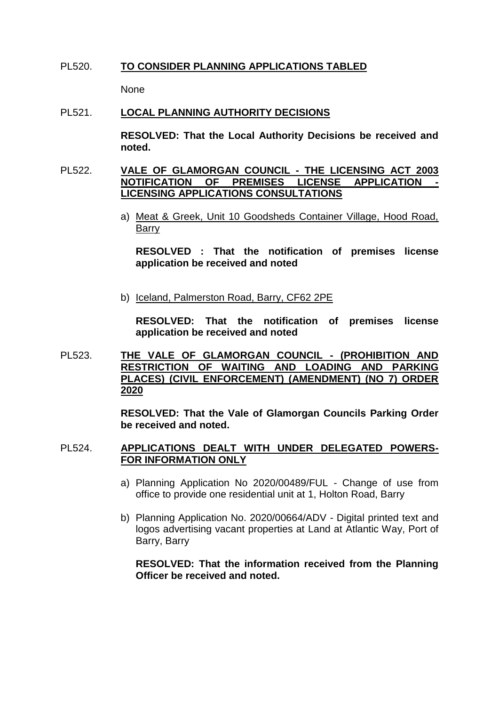### PL520. **TO CONSIDER PLANNING APPLICATIONS TABLED**

None

#### PL521. **LOCAL PLANNING AUTHORITY DECISIONS**

**RESOLVED: That the Local Authority Decisions be received and noted.** 

#### PL522. **VALE OF GLAMORGAN COUNCIL - THE LICENSING ACT 2003 NOTIFICATION OF PREMISES LICENSE APPLICATION - LICENSING APPLICATIONS CONSULTATIONS**

a) Meat & Greek, Unit 10 Goodsheds Container Village, Hood Road, Barry

**RESOLVED : That the notification of premises license application be received and noted**

b) Iceland, Palmerston Road, Barry, CF62 2PE

**RESOLVED: That the notification of premises license application be received and noted**

PL523. **THE VALE OF GLAMORGAN COUNCIL - (PROHIBITION AND RESTRICTION OF WAITING AND LOADING AND PARKING PLACES) (CIVIL ENFORCEMENT) (AMENDMENT) (NO 7) ORDER 2020**

> **RESOLVED: That the Vale of Glamorgan Councils Parking Order be received and noted.**

### PL524. **APPLICATIONS DEALT WITH UNDER DELEGATED POWERS-FOR INFORMATION ONLY**

- a) Planning Application No 2020/00489/FUL Change of use from office to provide one residential unit at 1, Holton Road, Barry
- b) Planning Application No. 2020/00664/ADV Digital printed text and logos advertising vacant properties at Land at Atlantic Way, Port of Barry, Barry

**RESOLVED: That the information received from the Planning Officer be received and noted.**